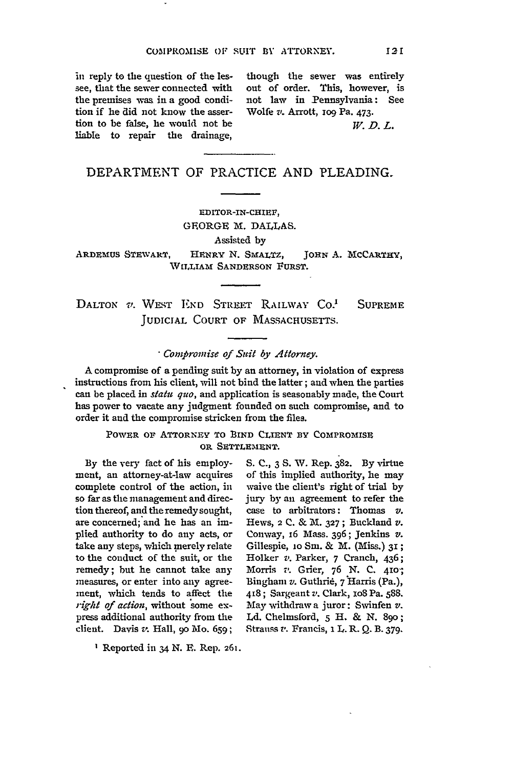see, that the sewer connected with out of order. This, however, is the premises was in a good condi- not law in Pennsylvania: See tion if he did not know the asser- Wolfe *v.* Arrott, ro9 Pa. 473. tion to be false, he would not be  $W, D, L$ . liable to repair the drainage,

in reply to the question of the les- though the sewer was entirely

## DEPARTMENT OF PRACTICE **AND** PLEADING.

EDITOR-IN-CHIEF, GFORGE M. DALLAS. Assisted by

ARDEMUS STEWART, HENRY N. SMALTZ, JOHN A. MCCARTHY, WILLIAM **SANDERSON FURST.**

**DALTON** V. WEST **END** STREET RAILWAY **CO!** SUPREME **JUDICIAL COURT** OF MASSACHUSETTS.

## *-Compromise of Suit* **by** *Attorney.*

A compromise of a pending suit **by** an attorney, in violation of express instructions from his client, will not bind the latter; and when the parties can be placed in *statu quo,* and application is seasonably made, the Court has power to vacate any judgment founded on such compromise, and to order it and the compromise stricken from the files.

## POWER OF ATTORNEY TO BIND CLIENT BY COMPROMISE OR **SETTLEMENT.**

**By** the very fact of his employment, an attorney-at-law acquires complete control of the action, in so far as the management and direction thereof, and the remedy sought, are concerned; and he has an implied authority to do any acts, or take any steps, which merely relate to the conduct of the suit, or the remedy; but he cannot take any measures, or enter into any agreement, which tends to affect the *right of action,* without some express additional authority from the client. Davis zp. Hall, **90** Mo. 659;

**S. C.,** 3 **S.** V. Rep. 382. By virtue of this implied authority, he may waive the client's right of trial by jury by an agreement to refer the case to arbitrators: Thomas *v.* Hews, 2 C. & M. **327** ; Buckland v. Conway, i6 Mass. 396; Jenkins *v.* Gillespie, 10 Sm. & M. (Miss.) 31; Holker *v.* Parker, 7 Cranch, 436; Morris *v.* Grier, 76 **N. C.** 410-; Binghan *v.* Guthrid, **7** 'Harris (Pa.), 418 ; Sargeant *v.* Clark, loS Pa. 588. May withdraw a juror: Swinfen *v. IA.* Chelmsford, 5 H. & **N.** 89o; Strauss *v.* Francis, **1** L. R. **Q.** B. **379.**

Reported in 34 N. **E.** Rep. 261.

121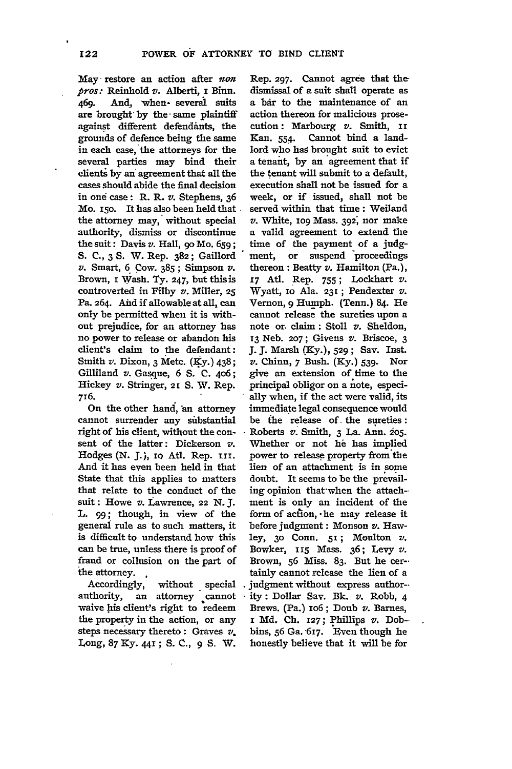May -restore an action after *non pros:* Reinhold v. Alberti, I Binn. 469. And, when several suits are brought by the same plaintiff against different defendants, the grounds of defence being the same in each case, the attorneys for the several parties may bind their clienti **by** an agreement that all the cases should abide the final decision in ond case: R. R. v. Stephens, **36** Mo. 150. It has also been held that. the attorney may, without special authority, dismiss or discontinue the suit: Davis *v.* Hall, go Mo. **659; S. C., 3 S.** W. Rep. **382;** Gaillord v. Smart, 6 Cow. **385;** Simpson *v.* Brown, **i** Wash. **Ty. 247,** but this is controverted in Filby *v.* Miller, **25** Pa. 264. Aid if allowable at all, can only be permitted when it is without prejudice, for an attorney has no power to release or abandon his client's claim to the defendant: Smith **v.** Dixon, **3** Metc. (Ky.) 438; Gilliland *v.* Gasque, **6 S. C.** 4o6; Hickey v. Stringer, 21 S. W. Rep. 716.

On the other hand, 'an attorney cannot surrender any substantial right of his client, without the consent of the latter: Dickerson *v.* Hodges (N. **J.),** io Atl. Rep. iii. And it has even been held in that State that this applies to matters that relate to the conduct of the suit: Howe v. Lawrence, 22 *N.J.* **L. 99;** though, in view of the general rule as to such matters, it is difficult to understand how this can be true, unless there is proof of fraud or collusion on the part of **the** attorney. **.**

Accordingly, without **.**special authority, an attorney cannot waive his client's right to redeem the property in the action, or any steps necessary thereto **:** Graves v. **Long, 87** Ky. 44, **; S. C., 9 S.** W.

Rep. **297.** Cannot agree that the dismissal of a suit shall operate as a bar to the maintenance of an action thereon for malicious prosecution: Marbourg *v.* Smith, **ii** Kan. 554. Cannot bind a landlord who has brought suit to evict a tenant, **by** an agreement that if the tenant will submit to a default, execution shall not be issued for a week, or if issued, shall not be served within that time: Weiland *v.* White, **io9** Mass. **392;** nor make a valid agreement to extend the time of the payment of a judgment, or suspend 'proceedings thereon **:** Beatty v. Hamilton (Pa.), **17** At. Rep. **755;** Lockhart *v.* Wyatt, io Ala. **231;** Pendexter v. Vernon, 9 Humph. (Tenn.) 84. He cannot release the sureties upon a note or. claim: Stoll *v.* Sheldon, **13** Neb. **207;** Givens *v.* Briscoe, **3 J. J.** Marsh (Ky.), **529;** Say. Inst. *v.* Chinn, **7** Bush. (Ky.) **539.** Nor give an extension of time to the principal obligor on a note, especially when, if the act were valid, its immediate legal consequence would be ihe release of the sureties: Roberts *v.* Smith, **3** La. Ann. **205.** Whether or not he has implied power to release property from the lien of an attachment is in some doubt. It seems to be the prevail**ing** opinion that-when the attach- ment is only an incident of the form of action, -he may release it before judgment: Monson v. Hawley, **30** Conn. **5I;** Moulton v. Bowker, **Ir <sup>5</sup>**Mass. **36;** Levy *v.* Brown, **56** Miss. **83.** But he certainly cannot release the lien of a judgment without express author- ity: Dollar Say. **Bk.** *v.* Robb, 4 Brews. (Pa.)  $106$ ; Doub  $v$ . Barnes, i **Md. Ch. 127; Phillips** *v.* Dobbins, 56 Ga. 617. Even though he honestly believe that it will be for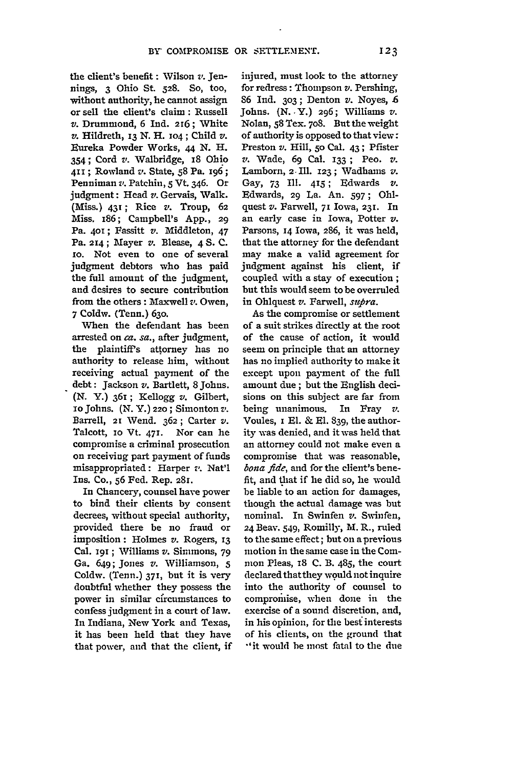the client's benefit : Wilson *v.* Jennings, 3 Ohio St. **528.** So, too, without authority, he cannot assign or sell the client's claim: Russell *v.* Drummond, 6 Ind. 216; White *v.* Hildreth, **13 N.** H. o4; Child *v.* Eureka Powder Works, **44 N.** H. 354; Cord *v.* Walbridge, 18 Ohio **4i ;** Rowland *v.* State, **58** Pa. 196; Penniman **z'.** Patchin, 5 Vt. 346. Or judgment: Head *v.* Gervais, Walk. (Miss.) **431;** Rice *v.* Troup, **62** Miss. 186; Campbell's App., 29 Pa. 401; Fassitt v. Middleton, 47 Pa. **214 ;** Mayer *v.* Blease, 4 **S. C. xo.** Not even to one of several judgment debtors who has paid the full amount of the judgment, and desires to secure contribution from the others **:** Maxwell *v.* Owen, 7 Coldw. (Tenn.) 63o.

When the defendant has been arrested on *ca. sa.,* after judgment, the plaintiff's attorney has no authority to release him, without receiving actual payment of the debt: Jackson *v.* Bartlett, 8 Johns. (N. Y.) 361; Kellogg *v.* Gilbert, ioJohns. (N. Y.) **220;** Simonton *z,.* Barrell, **21** Wend. 362; Carter *v.* Talcott, io Vt. **471.** Nor can he compromise a criminal prosecution on receiving part payment of funds misappropriated: Harper *v.* Nat'l Ins. Co., **56** Fed. Rep. **281.**

In Chancery, counsel have power to bind their clients by consent decrees, without special authority, provided there be no fraud or imposition: Holmes *v.* Rogers, **13** Cal. 191 **;** Williams *v.* Simmons, 79 Ga. 649; Jones *v.* Williamson, **5** Coldw. (Tenn.) **371,** but it is very doubtful whether they possess the power in similar circumstances to confess judgment in a court of law. In Indiana, New York and Texas, it has been held that they have that power, and that the client, if

injured, must look to the attorney for redress: Thompson *v.* Pershing, 86 Ind. 3o3; Denton *v.* Noyes, **.6** Johns. (N. Y.) 296; Williams *v.* Nolan, **58** Tex. 7o8. But the weight of authority is opposed to that view: Preston *v.* Hill, **5o** Cal. 43 **;** Pfister *v.* Wade, 69 Cal. 133 ; Peo. *v.* Lamborn, **2.** fll. 123 **;** Wadhamns *v.* Gay, **73 11. 415;** Edwards *v.* Edwards, 29 La. An. 597; Ohlquest *v.* Farwell, **71** Iowa, **231.** In an early case in Iowa, Potter *v.* Parsons, 14 Iowa, 286, it was held, that the attorney for the defendant may make a valid agreement for judgment against his client, if coupled with a stay of execution; but this would seem to be overruled in Ohlquest *v.* Farwell, *stifra.*

As the compromise or settlement of a suit strikes directly at the root of the cause of action, it would seem on principle that an attorney has no implied authority to make it except upon payment of the full amount due; but the English decisions on this subject are far from being unanimous. In Fray *v.* Voules, i El. & El. 839, the authority was denied, and it was held that an attorney could not make even a compromise that was reasonable, *bona fide,* and for the client's benefit, and that if lie did so, he would be liable to an action for damages, though the actual damage was but nominal. In Swinfen v. Swinfen, 24 Beav. 549, Romilly, M. R., ruled to the same effect; but on a previous motion in the same case in the Common Pleas, 18 C. B. 485, the court declared thatthey would not inquire into the authority of counsel to compromise, when done in the exercise of a sound discretion, and, in his opinion, for the best interests of his clients, on the ground that "it would be most fatal to the due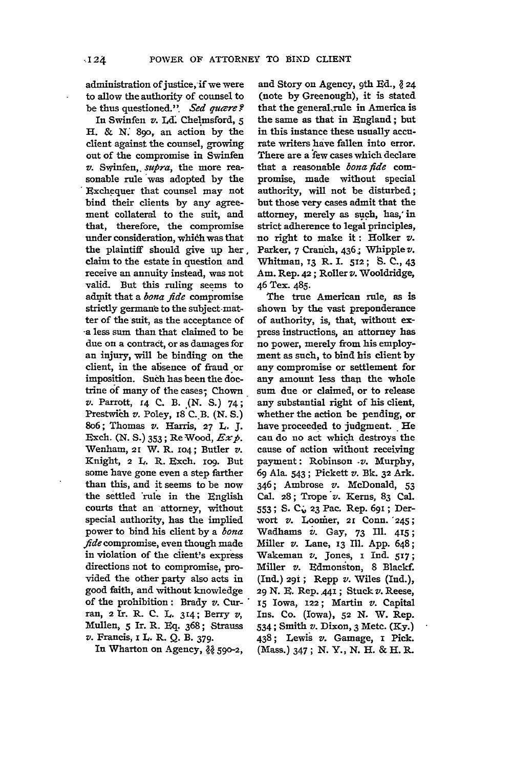administration of justice, if we were to allow the authority of counsel to be thus questioned.". *Sed quære*?

In Swinfen v. **Ld** Chelmsford, **5** H. & **X** 890, an action **by** the client against the counsel, growing out of the compromise in Swinfen v. Swinfen,. *supra,* the more reasonable rule was adopted by the Exchequer that counsel may not bind their clients **by** any agreement collateral to the suit, and that, therefore, the compromise under consideration, whidh was that the plaintiff should give up her, claim to the estate in question and receive an annuity instead, was not valid. But this ruling seems to admit that a *bona fide* compromise strictly germane to the subject-matter of the suit, as the acceptance of -a less sum than that claimed to be due on a contract, or as damages for an injury, will be binding on the client, in the absence of fraud or imposition. Such has been the doctrine of many of the cases; Chown **v.** Parrott, r4 **C. B.** .(N. **S.)** 74; Prestwich *v*. Poley, 18 C. B. (N. S.) 8o6; Thomas v. Harris, **27 L. J.** Exch. **(N. S.) 353 ;** Re Wood, *Exp.* Wenham, 21 W. R. **io4;** Butler v. Knight, 2 L. R. Exch. rog. But some have gone even a step farther than this, and it seems to be now the settled 'rule in the English courts that an attorney, without special authority, has the implied power to bind his client **by** a *bona fide* compromise, even though made in violation of the client's express directions not to compromise, provided the other party also acts in good faith, and without knowledge of the prohibition: Brady *v.* Curran, 2 ITr. R. C. L. 314; Berry *v,* Mullen, **5** Ir. R. Eq. 368; Strauss *v.* Francis, I L. R. **Q. B.** 379.

In Wharton on Agency,  $\frac{3}{6}$  590-2,

and Story on Agency, 9th Ed., *<sup>24</sup>* (note **by** Greenough), it is stated that the general rule in America is the same as that in England; but in this instance these usually accurate writers have fallen into error. There are a few cases which declare that a reasonable *bona fide* compromise, made without special authority, will not be disturbed; but those very cases admit that the attorney, merely as such, has,' in strict adherence to **legal** principles, no right to make **it:** Holker v. Parker, 7 Cranch, 436; Whipple v. Whitman, **x3** R. **I.** 512; **S. C.,** 43 Am. Rep. **42** ; Roller *v.* Wooldridge, 46 Tex. 485.

The true American rule, as is shown by the vast preponderance of authority, is, that, without express instructions, an attorney has no power, merely from his employment as such, to bind his client **by** any compromise or settlement for any amount less than the whole sum due or claimed, or to release any substantial right of his client, whether the action be pending, or have proceeded to judgment. He can do no act which destroys the cause of action without receiving payment: Robinson *-v.* Murphy, 69 Ala. 543; Pickett *v.* **Bk. 32** Ark. 346; Ambrose *v.* McDonald, 53 Cal. 28; Trope *v.* Kerns, 83 Cal. **553** ; S. C , **23** Pac. Rep. 691 **;** Derwort *v.* Loomer, 21 Conn. 245; Wadhams *v.* Gay, 73 Ill. 415; Miller *v.* Lane, **13** Ill. App. 648; Wakeman *v.* Jones, i Ind. **517;** Miller *v.* Edmonston, 8 Blackf. (Ind.) 291; Repp v. Wiles (Ind.), **29 N.** B. Rep..441 **;** Stuck *v.* Reese, **15** Iowa, **122;** Martin *v.* Capital Ins. Co. (Iowa), **52** *N.* W. Rep. 534; Smith *v.* Dixon, 3 Metc. **(Ky.)** 438; Lewis *v.* Gamage, i Pick. (Mass.) 347 ; **N.** Y., **N.** H. & H. R.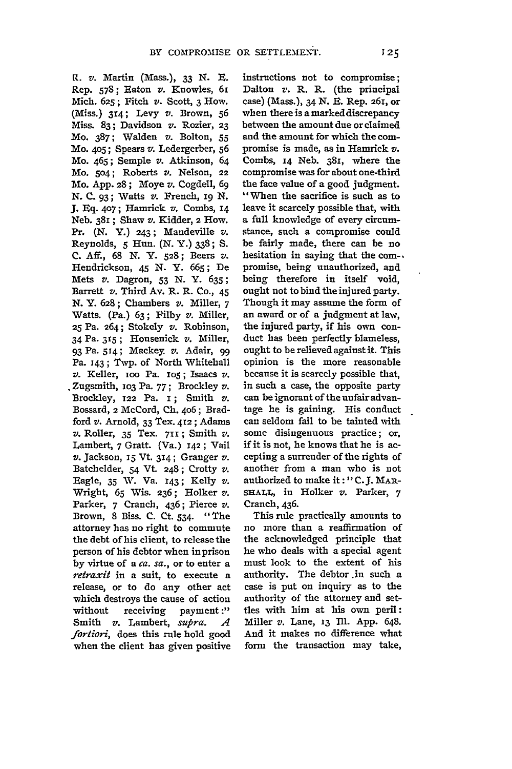R. *v.* Martin (Mass.), **33 N. E.** Rep. 578; Eaton *v.* Knowles, 61 Mich. **625;** Fitch *v.* Scott, 3 How. (Ms.) **314;** Levy *v.* Brown, **<sup>56</sup>** Miss. 83; Davidson *v.* Rozier, **23** Mo. 387; Walden v. Bolton, 55 Mo. **405;** Spears *v.* Ledergerber, s6 Mo. 465; Semple *v.* Atkinson, 64 Mo. 5o4; Roberts *v.* Nelson, 22 Mo. App. 28; Moye *v.* Cogdell, 69 N. C. 93; Watts *v.* French, 19 N. J. Eq. 407; Hamrick v. Combs, 14 Neb. 381 ; Shaw v. Kidder, 2 How. Pr. (N. Y.) 243; Mandeville *v.* Reynolds, 5 Hun. **(N. Y.)** 338; **S.** C. Aff., 68 N. Y. 528; Beers *v.* Hendrickson, 45 **N. Y.** 665; De Mets *v.* Dagron, 53 N. **Y.** 635; Barrett *v.* Third Av. R. R. Co., 45 N. **Y.** 628; Chambers *v.* Miller, 7 Watts. (Pa.) 63; Filby *v.* Miller, **25** Pa. 264; Stokely *v.* Robinson, 34 Pa. **315 ;** Housenick *v.* Miller, 93 Pa. 514; Mackey. *v.* Adair, 99 Pa. 143; Twp. of North Whitehall *v.* Keller, ioo Pa. io5; Isaacs *v.* Zugsmith, **1o3** Pa. 77 ; Brockley *v.* Brockley, **122** Pa. **i;** Smith *v.* Bossard, 2 McCord, **Ch.** 406; Bradford *v.* Arnold, **33** Tex. **412 ;** Adams *v.* Roller, **35** Tex. **711;** Smith *v.* Lambert, 7 Gratt. (Va.) 142; Vail *v.* Jackson, **15** Vt **314;** Granger *v.* Batchelder, 54 Vt 248; Crotty *v.* Eagle, **35 %.** Va. **143;** Kelly *v.* Wright, **65** Wis. **236;** Holker *v.* Parker, 7 Cranch, 436; Pierce *v.* Brown, **8** Biss. **C.** Ct. 534. "The attorney has no right to commute the debt of his client, to release the person of his debtor when in prison **by** virtue of a *ca. sa.,* or to enter a *retraxit* in a suit, to execute a release, or to do any other act which destroys the cause of action without receiving payment :" Smith **v.** Lambert, *supra. A fortiori,* does this rule hold good when the client has given positive instructions not to compromise; Dalton *v.* R. R. (the principal case) (Mass.), 34 N. **R.** Rep. 261, or when there is a marked discrepancy between the amount due or claimed and the amount for which the compromise is made, as in **Hamrick** *v.* Combs, **14** Neb. 381, where the compromise was for about one-third the face value of a good judgment. "When the sacrifice is such as to leave it scarcely possible that, with a full knowledge of every circumstance, such a compromise could be fairly made, there can be no hesitation in saying that the com-, promise, being unauthorized, and being therefore in itself void, ought not to bind the injured party. Though it may assume the form of an award or of a judgment at law, the injured party, if his own conduct has been perfectly blameless, ought to be relieved against it. This opinion is the more reasonable because it is scarcely possible that, in such a case, the opposite party can be ignorant of the unfair advantage he is gaining. His conduct can seldom fail to be tainted with some disingenuous practice; or, if it is not, he knows that he is accepting a surrender of the rights of another from a man who is not authorized to make **it: " C.J.** MAR-SHALL, in Holker *v.* Parker, 7 Cranch, 436.

This rule practically amounts to no more than a reaffirmation of the acknowledged principle that he who deals with a special agent must look to the extent of his authority. The debtor .in such a case is put on inquiry as to the authority of the attorney and settles with him at his own peril: Miller *v.* Lane, **13** Ill. App. 648. **And** it makes no difference what form the transaction may take,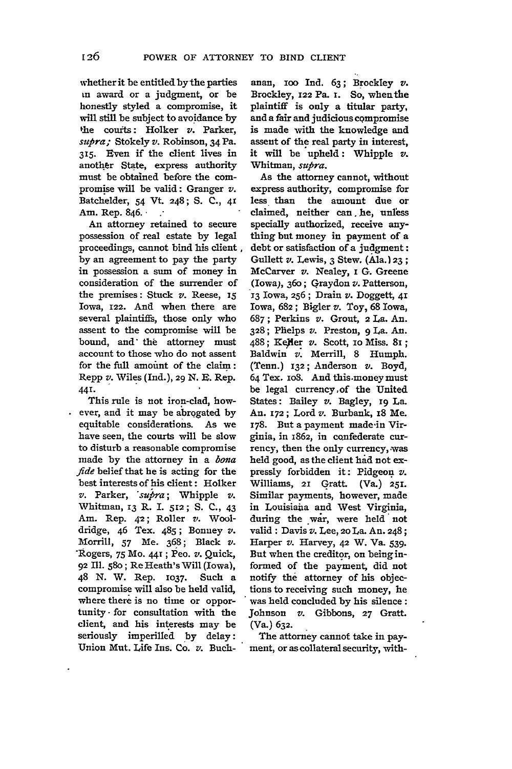whether it be entitled by the parties in award or a judgment, or be honestly styled a compromise, it will still be subject to avoidance **by** ffhe courts: Holker *v.* Parker, *supra;* Stokely *v.* Robinson, 34 Pa. **315.** Even if the client lives in another State, express authority must be obtained before the compromise will be valid: Granger *v.* Batchelder, 54 Vt. 248; **S. C., 41** Am. Rep. 846.- **.-**

An attorney retained to secure possession of real estate **by** legal proceedings, cannot bind his client **by** an agreement to pay the party in possession a suni of money in consideration of the surrender of the premises: Stuck *v.* Reese, 15 Iowa, **122.** And when there are several plaintiffs, those only who assent to the compromise will be bound, and the attorney must account to those who do not assent for the full amount of the claim: Repp *v.* Wiles (Ind.), 29 **N. E.** Rep. **441.**

This rule is not iron-clad, however, and it may be abrogated **by** equitable considerations. As we have seen, the courts will be slow to disturb a reasonable compromise made **by** the attorney in a *bona fide* belief that he is acting for the best interests of his client: Holker *v.* Parker, *'sulra;* Whipple *v.* Whitman, **13** R. I. **512; S.** C., 43 Am. Rep. **42;** Roller *v.* Wooldridge, 46 Tex. 485; Bonney *v.* Morrill, **57 Me.** 368; Black *v.* -Rogers, 75 Mo. 44T; Peo. *v.* Quick, 92 **Ill.** 580; Re Heath's Will (Iowa), 48 **N.** W. Rep. **1037.** Such a compromise will also be held valid, where there is no time or opportunity for consultation with the client, and his interests may be seriously imperilled by delay: Union Mut. Life Ins. Co. v. Buch-

anan, ioo Ind. **63;** Brockley *v.* Brockley, 122 Pa. i. So, whenthe plaintiff is only a titular party, and a fair and judicious compromise is made with the knowledge and assent of the real party in interest, it will be upheld: Whipple v. Whitman, *supra*.

As the attorney cannot, without express authority, compromise for less than the amount due or claimed, neither can, he, unless specially authorized, receive anything but money in payment of a debt or satisfaction of a judgment: Gullett v. Lewis, 3 Stew. (Ala.)23 **;** McCarver *v.* Nealey, **i G.** Greene (Iowa), **36o ;** Graydon *v.* Patterson, **13** Iowa, 256; Drain *v.* Doggett, **41** Iowa, 682; Bigler *v.* Toy, **68** Iowa, **687 ;** Perkins *v.* Grout, 2 La. An. **328;** Phelps *v.* Preston, 9 La. **An.** 488; Keller *v.* Scott, 10 Miss. 81; Baldwin v. Merrill, **8** Humph. (Tenn.) **132;** Anderson v. Boyd, 64 Tex. io8. And this-money must be legal currency,of the United States: Bailey *v.* Bagley, **x9** La. An. **172;** Lord v. Burbank, 18 Me. 178. But a payment made-in Virginia, in 1862, in confederate currency, then the only currency, was held good, as the client **had** not expressly forbidden it: Pidgeon *v.* Williams, **21** Graft. (Va.) **251.** Similar payments, however, made in Louisiana and West Virginia, during the war, were held not valid : Davis *v.* Lee, **20** La. An. 248; Harper *v.* Harvey, **42** W. Va. 539. But when the creditor, on beinginformed of the payment, did not notify the attorney of his objections to receiving such money, he was held concluded **by** his silence: Johnson v. Gibbons, **27** Gratt. (Va.) **632.**

The attorney cannot take in payment, or as collateral security, with-